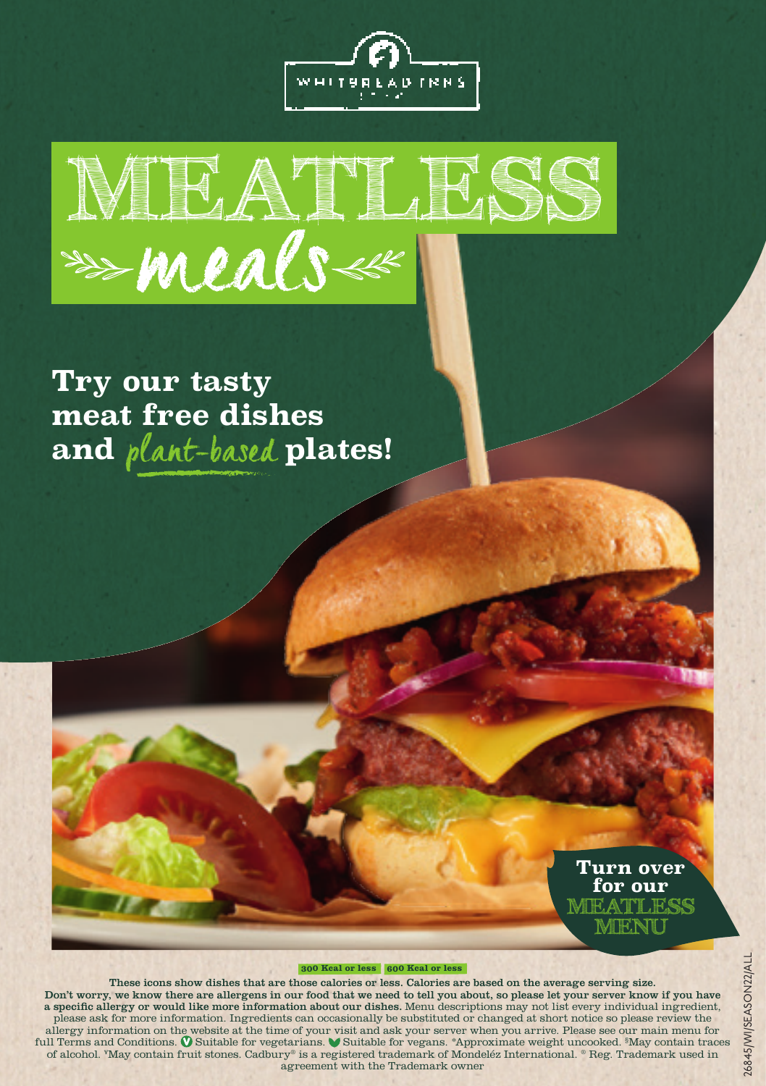



# **Try our tasty meat free dishes and** plant-based **plates!**



#### **300 Kcal or less 600 Kcal or less**

These icons show dishes that are those calories or less. Calories are based on the average serving size. Don't worry, we know there are allergens in our food that we need to tell you about, so please let your server know if you have a specific allergy or would like more information about our dishes. Menu descriptions may not list every individual ingredient, please ask for more information. Ingredients can occasionally be substituted or changed at short notice so please review the allergy information on the website at the time of your visit and ask your server when you arrive. Please see our main menu for<br>full Terms and Conditions.  $\Phi$  Suitable for vegetarians.  $\Psi$  Suitable for vegans. \*Approximat agreement with the Trademark owner